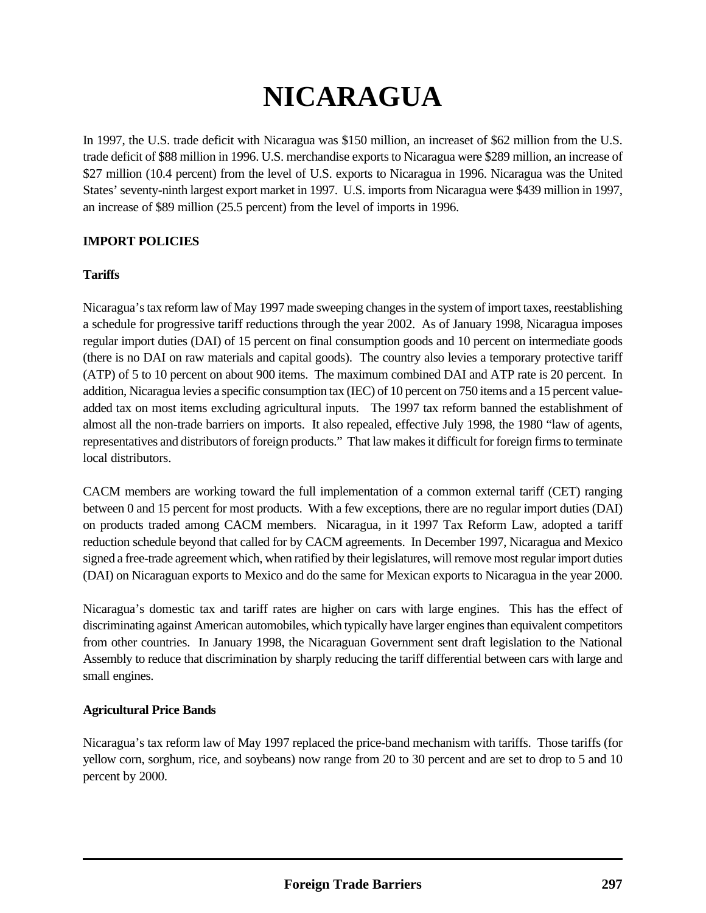# **NICARAGUA**

In 1997, the U.S. trade deficit with Nicaragua was \$150 million, an increaset of \$62 million from the U.S. trade deficit of \$88 million in 1996. U.S. merchandise exports to Nicaragua were \$289 million, an increase of \$27 million (10.4 percent) from the level of U.S. exports to Nicaragua in 1996. Nicaragua was the United States' seventy-ninth largest export market in 1997. U.S. imports from Nicaragua were \$439 million in 1997, an increase of \$89 million (25.5 percent) from the level of imports in 1996.

# **IMPORT POLICIES**

# **Tariffs**

Nicaragua's tax reform law of May 1997 made sweeping changes in the system of import taxes, reestablishing a schedule for progressive tariff reductions through the year 2002. As of January 1998, Nicaragua imposes regular import duties (DAI) of 15 percent on final consumption goods and 10 percent on intermediate goods (there is no DAI on raw materials and capital goods). The country also levies a temporary protective tariff (ATP) of 5 to 10 percent on about 900 items. The maximum combined DAI and ATP rate is 20 percent. In addition, Nicaragua levies a specific consumption tax (IEC) of 10 percent on 750 items and a 15 percent valueadded tax on most items excluding agricultural inputs. The 1997 tax reform banned the establishment of almost all the non-trade barriers on imports. It also repealed, effective July 1998, the 1980 "law of agents, representatives and distributors of foreign products." That law makes it difficult for foreign firms to terminate local distributors.

CACM members are working toward the full implementation of a common external tariff (CET) ranging between 0 and 15 percent for most products. With a few exceptions, there are no regular import duties (DAI) on products traded among CACM members. Nicaragua, in it 1997 Tax Reform Law, adopted a tariff reduction schedule beyond that called for by CACM agreements. In December 1997, Nicaragua and Mexico signed a free-trade agreement which, when ratified by their legislatures, will remove most regular import duties (DAI) on Nicaraguan exports to Mexico and do the same for Mexican exports to Nicaragua in the year 2000.

Nicaragua's domestic tax and tariff rates are higher on cars with large engines. This has the effect of discriminating against American automobiles, which typically have larger engines than equivalent competitors from other countries. In January 1998, the Nicaraguan Government sent draft legislation to the National Assembly to reduce that discrimination by sharply reducing the tariff differential between cars with large and small engines.

# **Agricultural Price Bands**

Nicaragua's tax reform law of May 1997 replaced the price-band mechanism with tariffs. Those tariffs (for yellow corn, sorghum, rice, and soybeans) now range from 20 to 30 percent and are set to drop to 5 and 10 percent by 2000.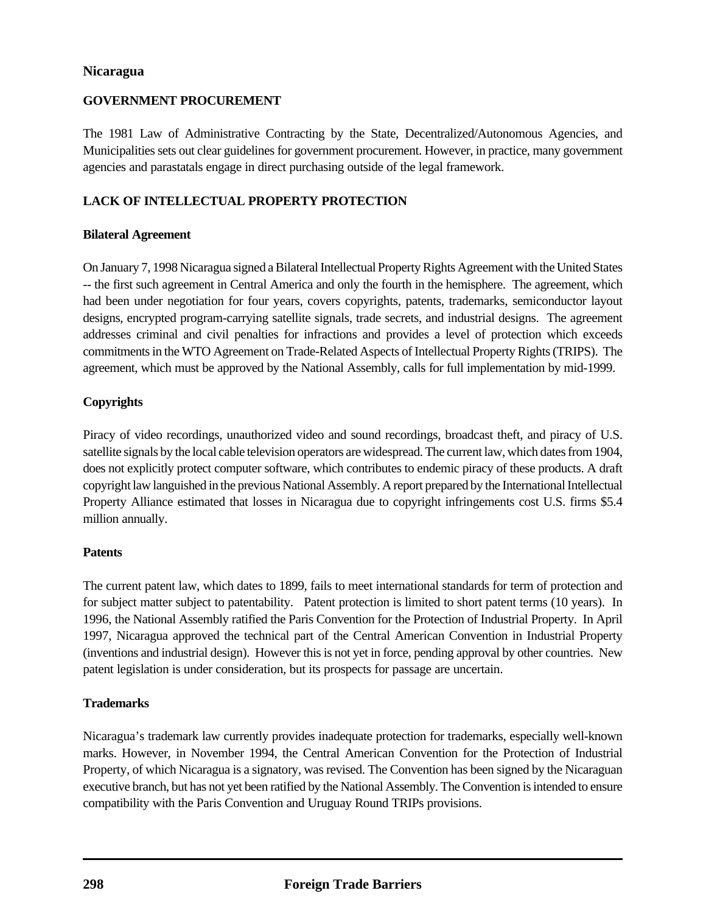# **Nicaragua**

# **GOVERNMENT PROCUREMENT**

The 1981 Law of Administrative Contracting by the State, Decentralized/Autonomous Agencies, and Municipalities sets out clear guidelines for government procurement. However, in practice, many government agencies and parastatals engage in direct purchasing outside of the legal framework.

# **LACK OF INTELLECTUAL PROPERTY PROTECTION**

#### **Bilateral Agreement**

On January 7, 1998 Nicaragua signed a Bilateral Intellectual Property Rights Agreement with the United States -- the first such agreement in Central America and only the fourth in the hemisphere. The agreement, which had been under negotiation for four years, covers copyrights, patents, trademarks, semiconductor layout designs, encrypted program-carrying satellite signals, trade secrets, and industrial designs. The agreement addresses criminal and civil penalties for infractions and provides a level of protection which exceeds commitments in the WTO Agreement on Trade-Related Aspects of Intellectual Property Rights (TRIPS). The agreement, which must be approved by the National Assembly, calls for full implementation by mid-1999.

# **Copyrights**

Piracy of video recordings, unauthorized video and sound recordings, broadcast theft, and piracy of U.S. satellite signals by the local cable television operators are widespread. The current law, which dates from 1904, does not explicitly protect computer software, which contributes to endemic piracy of these products. A draft copyright law languished in the previous National Assembly. A report prepared by the International Intellectual Property Alliance estimated that losses in Nicaragua due to copyright infringements cost U.S. firms \$5.4 million annually.

# **Patents**

The current patent law, which dates to 1899, fails to meet international standards for term of protection and for subject matter subject to patentability. Patent protection is limited to short patent terms (10 years). In 1996, the National Assembly ratified the Paris Convention for the Protection of Industrial Property. In April 1997, Nicaragua approved the technical part of the Central American Convention in Industrial Property (inventions and industrial design). However this is not yet in force, pending approval by other countries. New patent legislation is under consideration, but its prospects for passage are uncertain.

# **Trademarks**

Nicaragua's trademark law currently provides inadequate protection for trademarks, especially well-known marks. However, in November 1994, the Central American Convention for the Protection of Industrial Property, of which Nicaragua is a signatory, was revised. The Convention has been signed by the Nicaraguan executive branch, but has not yet been ratified by the National Assembly. The Convention is intended to ensure compatibility with the Paris Convention and Uruguay Round TRIPs provisions.